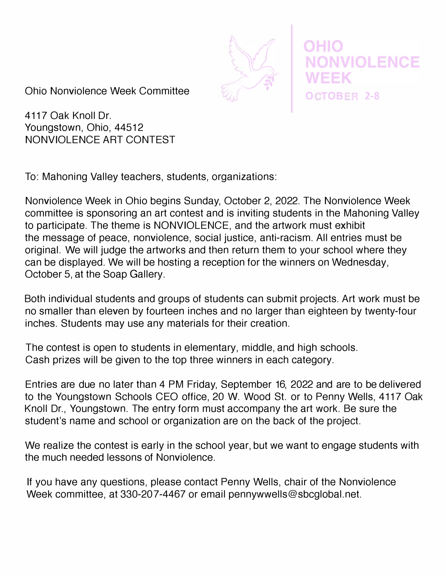

Ohio Nonviolence Week Committee

4117 Oak Knoll Dr. Youngstown, Ohio, 44512 NONVIOLENCE ART CONTEST

To: Mahoning Valley teachers, students, organizations:

Nonviolence Week in Ohio begins Sunday, October 2, 2022. The Nonviolence Week committee is sponsoring an art contest and is inviting students in the Mahoning Valley to participate. The theme is NONVIOLENCE, and the artwork must exhibit the message of peace, nonviolence, social justice, anti-racism. All entries must be original. We will judge the artworks and then return them to your school where they can be displayed. We will be hosting a reception for the winners on Wednesday, October 5, at the Soap Gallery.

Both individual students and groups of students can submit projects. Art work must be no smaller than eleven by fourteen inches and no larger than eighteen by twenty-four inches. Students may use any materials for their creation.

The contest is open to students in elementary, middle, and high schools. Cash prizes will be given to the top three winners in each category.

Entries are due no later than 4 PM Friday, September 16, 2022 and are to be delivered to the Youngstown Schools CEO office, 20 W. Wood St. or to Penny Wells, 4117 Oak Knoll Dr., Youngstown. The entry form must accompany the art work. Be sure the student's name and school or organization are on the back of the project.

We realize the contest is early in the school year, but we want to engage students with the much needed lessons of Nonviolence.

If you have any questions, please contact Penny Wells, chair of the Nonviolence Week committee, at 330-207-4467 or email pennywwells@sbcglobal.net.